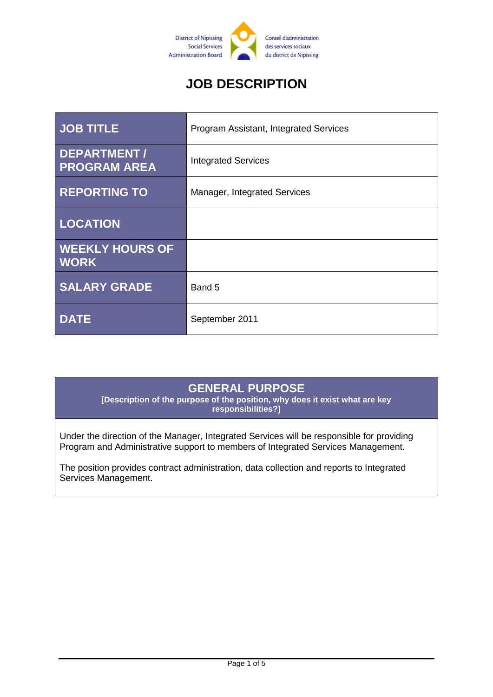

# **JOB DESCRIPTION**

| <b>JOB TITLE</b>                      | Program Assistant, Integrated Services |
|---------------------------------------|----------------------------------------|
| DEPARTMENT /<br><b>PROGRAM AREA</b>   | <b>Integrated Services</b>             |
| <b>REPORTING TO</b>                   | Manager, Integrated Services           |
| <b>LOCATION</b>                       |                                        |
| <b>WEEKLY HOURS OF</b><br><b>WORK</b> |                                        |
| <b>SALARY GRADE</b>                   | Band 5                                 |
| <b>DATE</b>                           | September 2011                         |

### **GENERAL PURPOSE**

**[Description of the purpose of the position, why does it exist what are key responsibilities?]**

Under the direction of the Manager, Integrated Services will be responsible for providing Program and Administrative support to members of Integrated Services Management.

The position provides contract administration, data collection and reports to Integrated Services Management.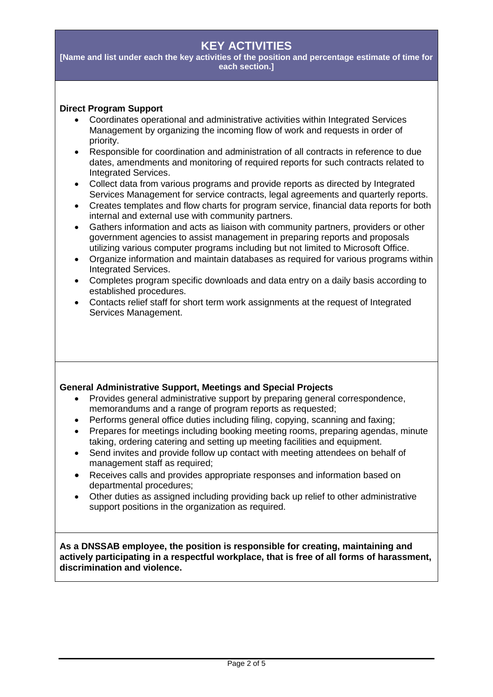# **KEY ACTIVITIES**

**[Name and list under each the key activities of the position and percentage estimate of time for each section.]**

#### **Direct Program Support**

- Coordinates operational and administrative activities within Integrated Services Management by organizing the incoming flow of work and requests in order of priority.
- Responsible for coordination and administration of all contracts in reference to due dates, amendments and monitoring of required reports for such contracts related to Integrated Services.
- Collect data from various programs and provide reports as directed by Integrated Services Management for service contracts, legal agreements and quarterly reports.
- Creates templates and flow charts for program service, financial data reports for both internal and external use with community partners.
- Gathers information and acts as liaison with community partners, providers or other government agencies to assist management in preparing reports and proposals utilizing various computer programs including but not limited to Microsoft Office.
- Organize information and maintain databases as required for various programs within Integrated Services.
- Completes program specific downloads and data entry on a daily basis according to established procedures.
- Contacts relief staff for short term work assignments at the request of Integrated Services Management.

#### **General Administrative Support, Meetings and Special Projects**

- Provides general administrative support by preparing general correspondence, memorandums and a range of program reports as requested;
- Performs general office duties including filing, copying, scanning and faxing;
- Prepares for meetings including booking meeting rooms, preparing agendas, minute taking, ordering catering and setting up meeting facilities and equipment.
- Send invites and provide follow up contact with meeting attendees on behalf of management staff as required;
- Receives calls and provides appropriate responses and information based on departmental procedures;
- Other duties as assigned including providing back up relief to other administrative support positions in the organization as required.

**As a DNSSAB employee, the position is responsible for creating, maintaining and actively participating in a respectful workplace, that is free of all forms of harassment, discrimination and violence.**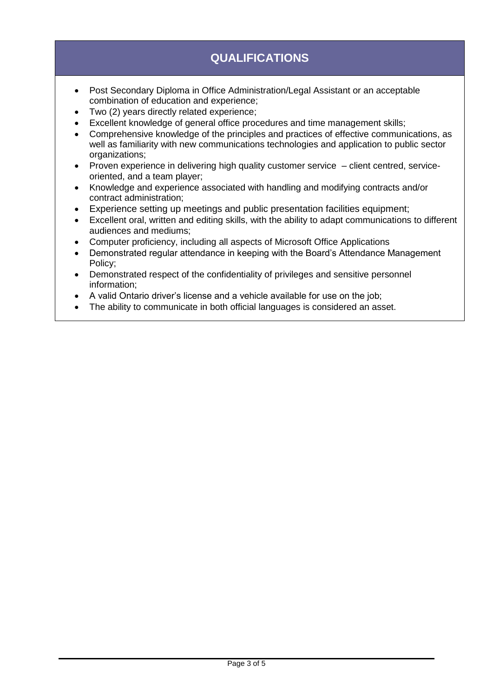# **QUALIFICATIONS**

- Post Secondary Diploma in Office Administration/Legal Assistant or an acceptable combination of education and experience;
- Two (2) years directly related experience;
- Excellent knowledge of general office procedures and time management skills;
- Comprehensive knowledge of the principles and practices of effective communications, as well as familiarity with new communications technologies and application to public sector organizations;
- Proven experience in delivering high quality customer service client centred, serviceoriented, and a team player;
- Knowledge and experience associated with handling and modifying contracts and/or contract administration;
- Experience setting up meetings and public presentation facilities equipment;
- Excellent oral, written and editing skills, with the ability to adapt communications to different audiences and mediums;
- Computer proficiency, including all aspects of Microsoft Office Applications
- Demonstrated regular attendance in keeping with the Board's Attendance Management Policy;
- Demonstrated respect of the confidentiality of privileges and sensitive personnel information;
- A valid Ontario driver's license and a vehicle available for use on the job;
- The ability to communicate in both official languages is considered an asset.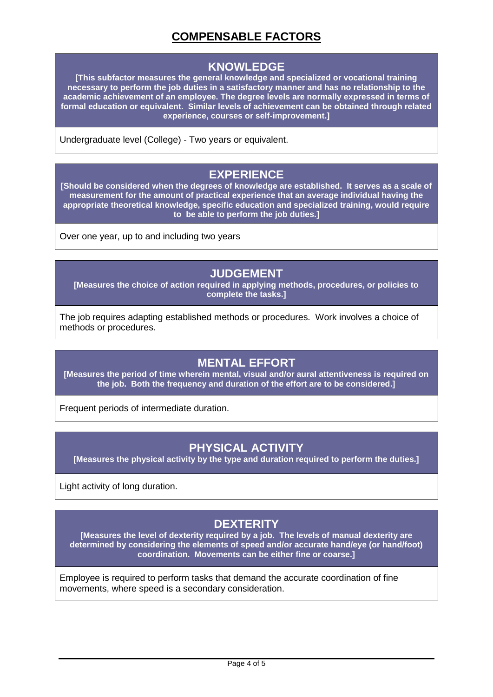# **COMPENSABLE FACTORS**

#### **KNOWLEDGE**

**[This subfactor measures the general knowledge and specialized or vocational training necessary to perform the job duties in a satisfactory manner and has no relationship to the academic achievement of an employee. The degree levels are normally expressed in terms of formal education or equivalent. Similar levels of achievement can be obtained through related experience, courses or self-improvement.]**

Undergraduate level (College) - Two years or equivalent.

#### **EXPERIENCE**

**[Should be considered when the degrees of knowledge are established. It serves as a scale of measurement for the amount of practical experience that an average individual having the appropriate theoretical knowledge, specific education and specialized training, would require to be able to perform the job duties.]**

Over one year, up to and including two years

#### **JUDGEMENT**

**[Measures the choice of action required in applying methods, procedures, or policies to complete the tasks.]**

The job requires adapting established methods or procedures. Work involves a choice of methods or procedures.

### **MENTAL EFFORT**

**[Measures the period of time wherein mental, visual and/or aural attentiveness is required on the job. Both the frequency and duration of the effort are to be considered.]**

Frequent periods of intermediate duration.

### **PHYSICAL ACTIVITY**

**[Measures the physical activity by the type and duration required to perform the duties.]**

Light activity of long duration.

# **DEXTERITY**

**[Measures the level of dexterity required by a job. The levels of manual dexterity are determined by considering the elements of speed and/or accurate hand/eye (or hand/foot) coordination. Movements can be either fine or coarse.]**

Employee is required to perform tasks that demand the accurate coordination of fine movements, where speed is a secondary consideration.